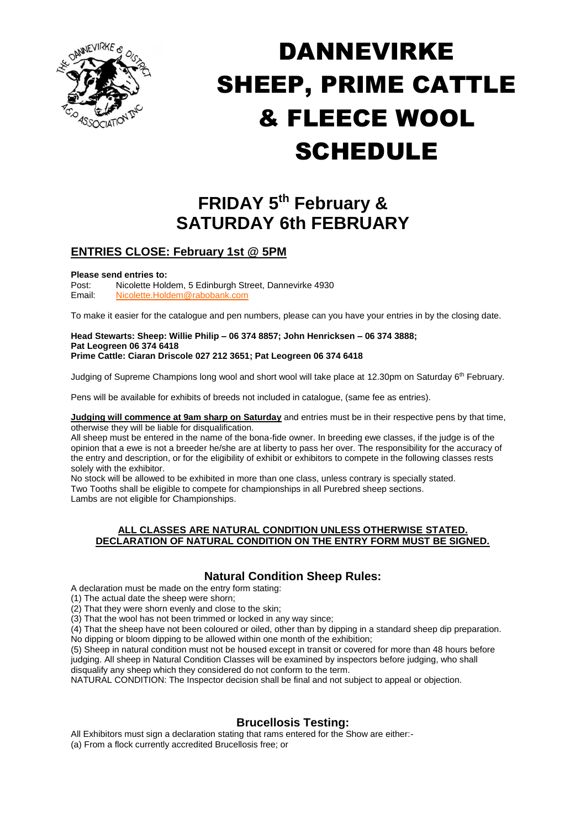

# DANNEVIRKE SHEEP, PRIME CATTLE & FLEECE WOOL **SCHEDULE**

# **FRIDAY 5 th February & SATURDAY 6th FEBRUARY**

## **ENTRIES CLOSE: February 1st @ 5PM**

# **Please send entries to:**<br>Post: Nicolette Hold

Post: Nicolette Holdem, 5 Edinburgh Street, Dannevirke 4930<br>Email: Nicolette Holdem@rabobank.com [Nicolette.Holdem@rabobank.com](mailto:Nicolette.Holdem@rabobank.com)

To make it easier for the catalogue and pen numbers, please can you have your entries in by the closing date.

#### **Head Stewarts: Sheep: Willie Philip – 06 374 8857; John Henricksen – 06 374 3888; Pat Leogreen 06 374 6418 Prime Cattle: Ciaran Driscole 027 212 3651; Pat Leogreen 06 374 6418**

Judging of Supreme Champions long wool and short wool will take place at 12.30pm on Saturday 6<sup>th</sup> February.

Pens will be available for exhibits of breeds not included in catalogue, (same fee as entries).

**Judging will commence at 9am sharp on Saturday** and entries must be in their respective pens by that time, otherwise they will be liable for disqualification.

All sheep must be entered in the name of the bona-fide owner. In breeding ewe classes, if the judge is of the opinion that a ewe is not a breeder he/she are at liberty to pass her over. The responsibility for the accuracy of the entry and description, or for the eligibility of exhibit or exhibitors to compete in the following classes rests solely with the exhibitor.

No stock will be allowed to be exhibited in more than one class, unless contrary is specially stated. Two Tooths shall be eligible to compete for championships in all Purebred sheep sections. Lambs are not eligible for Championships.

#### **ALL CLASSES ARE NATURAL CONDITION UNLESS OTHERWISE STATED. DECLARATION OF NATURAL CONDITION ON THE ENTRY FORM MUST BE SIGNED.**

## **Natural Condition Sheep Rules:**

A declaration must be made on the entry form stating:

(1) The actual date the sheep were shorn;

(2) That they were shorn evenly and close to the skin;

(3) That the wool has not been trimmed or locked in any way since;

(4) That the sheep have not been coloured or oiled, other than by dipping in a standard sheep dip preparation. No dipping or bloom dipping to be allowed within one month of the exhibition;

(5) Sheep in natural condition must not be housed except in transit or covered for more than 48 hours before judging. All sheep in Natural Condition Classes will be examined by inspectors before judging, who shall disqualify any sheep which they considered do not conform to the term.

NATURAL CONDITION: The Inspector decision shall be final and not subject to appeal or objection.

## **Brucellosis Testing:**

All Exhibitors must sign a declaration stating that rams entered for the Show are either:-

(a) From a flock currently accredited Brucellosis free; or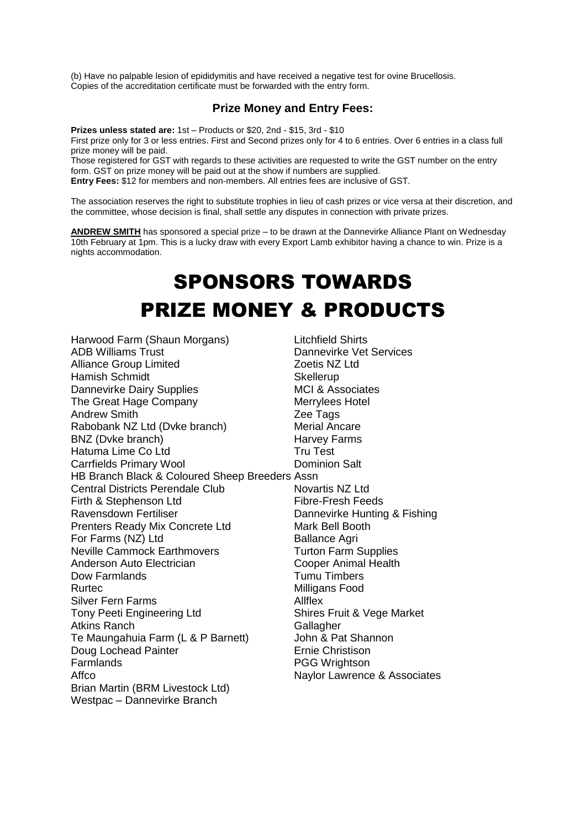(b) Have no palpable lesion of epididymitis and have received a negative test for ovine Brucellosis. Copies of the accreditation certificate must be forwarded with the entry form.

#### **Prize Money and Entry Fees:**

**Prizes unless stated are:** 1st – Products or \$20, 2nd - \$15, 3rd - \$10 First prize only for 3 or less entries. First and Second prizes only for 4 to 6 entries. Over 6 entries in a class full prize money will be paid.

Those registered for GST with regards to these activities are requested to write the GST number on the entry form. GST on prize money will be paid out at the show if numbers are supplied.

**Entry Fees:** \$12 for members and non-members. All entries fees are inclusive of GST.

The association reserves the right to substitute trophies in lieu of cash prizes or vice versa at their discretion, and the committee, whose decision is final, shall settle any disputes in connection with private prizes.

**ANDREW SMITH** has sponsored a special prize – to be drawn at the Dannevirke Alliance Plant on Wednesday 10th February at 1pm. This is a lucky draw with every Export Lamb exhibitor having a chance to win. Prize is a nights accommodation.

# SPONSORS TOWARDS PRIZE MONEY & PRODUCTS

Harwood Farm (Shaun Morgans) Litchfield Shirts ADB Williams Trust Dannevirke Vet Services Alliance Group Limited **Zoetis NZ Ltd** Hamish Schmidt Skellerup Dannevirke Dairy Supplies MCI & Associates The Great Hage Company Merrylees Hotel Andrew Smith **Example 20** 2ee Tags Rabobank NZ Ltd (Dvke branch) Merial Ancare BNZ (Dvke branch) **Harvey Farms** Hatuma Lime Co Ltd<br>
Carrfields Primary Wool **Tru Test**<br>
Dominion Salt Carrfields Primary Wool HB Branch Black & Coloured Sheep Breeders Assn Central Districts Perendale Club Novartis NZ Ltd Firth & Stephenson Ltd Fibre-Fresh Feeds Ravensdown Fertiliser **National Exercise State Bundlers** Dannevirke Hunting & Fishing Prenters Ready Mix Concrete Ltd Mark Bell Booth For Farms (NZ) Ltd Ballance Agri Neville Cammock Earthmovers Turton Farm Supplies Anderson Auto Electrician<br>
Dow Farmlands<br>
Dow Farmlands<br>
Cooper Animal Health<br>
Tumu Timbers Rurtec **Milligans** Food Silver Fern Farms Allflex Tony Peeti Engineering Ltd Shires Fruit & Vege Market Atkins Ranch Gallagher Te Maungahuia Farm (L & P Barnett) John & Pat Shannon Doug Lochead Painter **Example 20** Ernie Christison Farmlands **PGG Wrightson** Affco Naylor Lawrence & Associates Brian Martin (BRM Livestock Ltd) Westpac – Dannevirke Branch

**Tumu Timbers**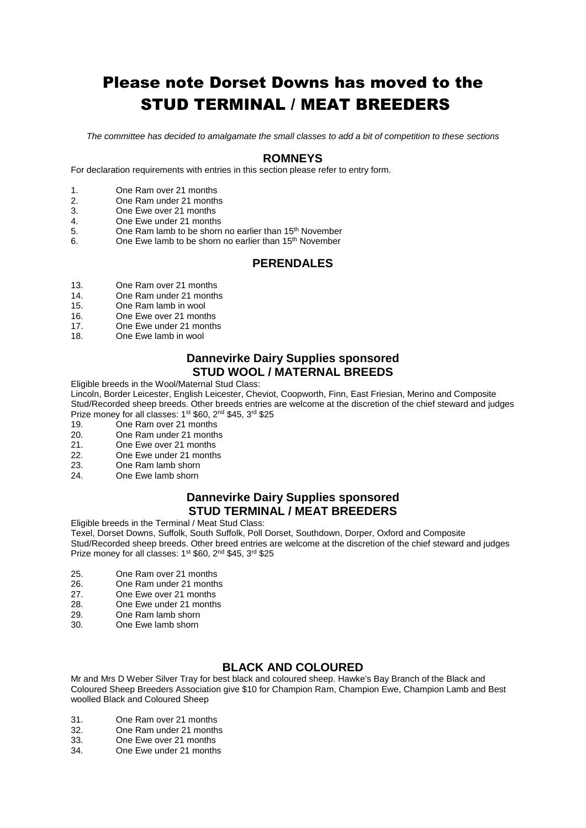# Please note Dorset Downs has moved to the STUD TERMINAL / MEAT BREEDERS

*The committee has decided to amalgamate the small classes to add a bit of competition to these sections*

#### **ROMNEYS**

For declaration requirements with entries in this section please refer to entry form.

- 1. One Ram over 21 months
- 2. One Ram under 21 months
- 3. One Ewe over 21 months
- 4. One Ewe under 21 months
- 5. One Ram lamb to be shorn no earlier than 15<sup>th</sup> November
- 6. One Ewe lamb to be shorn no earlier than  $15<sup>th</sup>$  November

#### **PERENDALES**

- 13. One Ram over 21 months
- 14. One Ram under 21 months
- 15. One Ram lamb in wool
- 16. One Ewe over 21 months
- 17. One Ewe under 21 months
- 18. One Ewe lamb in wool

#### **Dannevirke Dairy Supplies sponsored STUD WOOL / MATERNAL BREEDS**

Eligible breeds in the Wool/Maternal Stud Class:

Lincoln, Border Leicester, English Leicester, Cheviot, Coopworth, Finn, East Friesian, Merino and Composite Stud/Recorded sheep breeds. Other breeds entries are welcome at the discretion of the chief steward and judges Prize money for all classes: 1<sup>st</sup> \$60, 2<sup>nd</sup> \$45, 3<sup>rd</sup> \$25

- 19. One Ram over 21 months<br>20. One Ram under 21 months
- 20. One Ram under 21 months<br>21. One Ewe over 21 months
- 21. One Ewe over 21 months
- 22. One Ewe under 21 months<br>23. One Ram lamb shorn
- 23. One Ram lamb shorn
- 24. One Ewe lamb shorn

#### **Dannevirke Dairy Supplies sponsored STUD TERMINAL / MEAT BREEDERS**

Eligible breeds in the Terminal / Meat Stud Class:

Texel, Dorset Downs, Suffolk, South Suffolk, Poll Dorset, Southdown, Dorper, Oxford and Composite Stud/Recorded sheep breeds. Other breed entries are welcome at the discretion of the chief steward and judges Prize money for all classes: 1<sup>st</sup> \$60, 2<sup>nd</sup> \$45, 3<sup>rd</sup> \$25

- 25. One Ram over 21 months
- 26. One Ram under 21 months
- 27. One Ewe over 21 months
- 28. One Ewe under 21 months
- 29. One Ram lamb shorn<br>30. One Ewe lamb shorn
- One Ewe lamb shorn

#### **BLACK AND COLOURED**

Mr and Mrs D Weber Silver Tray for best black and coloured sheep. Hawke's Bay Branch of the Black and Coloured Sheep Breeders Association give \$10 for Champion Ram, Champion Ewe, Champion Lamb and Best woolled Black and Coloured Sheep

- 31. One Ram over 21 months<br>32 One Ram under 21 months
- 32. One Ram under 21 months<br>33. One Ewe over 21 months
- One Ewe over 21 months
- 34. One Ewe under 21 months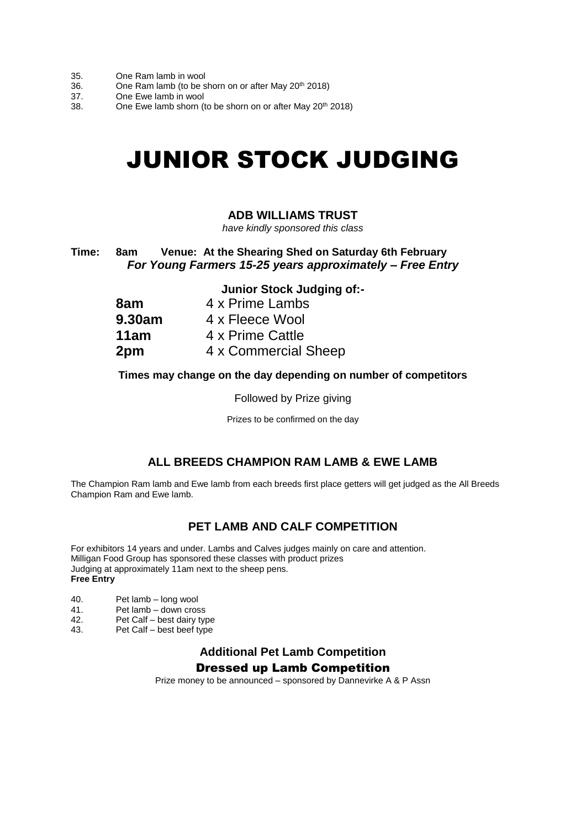- 35. One Ram lamb in wool
- 36. One Ram lamb (to be shorn on or after May 20<sup>th</sup> 2018)
- 37. One Ewe lamb in wool
- 38. One Ewe lamb shorn (to be shorn on or after May 20<sup>th</sup> 2018)

# JUNIOR STOCK JUDGING

#### **ADB WILLIAMS TRUST**

*have kindly sponsored this class*

**Time: 8am Venue: At the Shearing Shed on Saturday 6th February** *For Young Farmers 15-25 years approximately – Free Entry*

#### **Junior Stock Judging of:-**

| 8am    | 4 x Prime Lambs      |
|--------|----------------------|
| 9.30am | 4 x Fleece Wool      |
| 11am   | 4 x Prime Cattle     |
| 2pm    | 4 x Commercial Sheep |

#### **Times may change on the day depending on number of competitors**

Followed by Prize giving

Prizes to be confirmed on the day

#### **ALL BREEDS CHAMPION RAM LAMB & EWE LAMB**

The Champion Ram lamb and Ewe lamb from each breeds first place getters will get judged as the All Breeds Champion Ram and Ewe lamb.

## **PET LAMB AND CALF COMPETITION**

For exhibitors 14 years and under. Lambs and Calves judges mainly on care and attention. Milligan Food Group has sponsored these classes with product prizes Judging at approximately 11am next to the sheep pens. **Free Entry**

- 40. Pet lamb long wool
- 41. Pet lamb down cross<br>42. Pet Calf best dairy type
- 42. Pet Calf best dairy type<br>43. Pet Calf best beef type
- Pet Calf best beef type

#### **Additional Pet Lamb Competition** Dressed up Lamb Competition

Prize money to be announced – sponsored by Dannevirke A & P Assn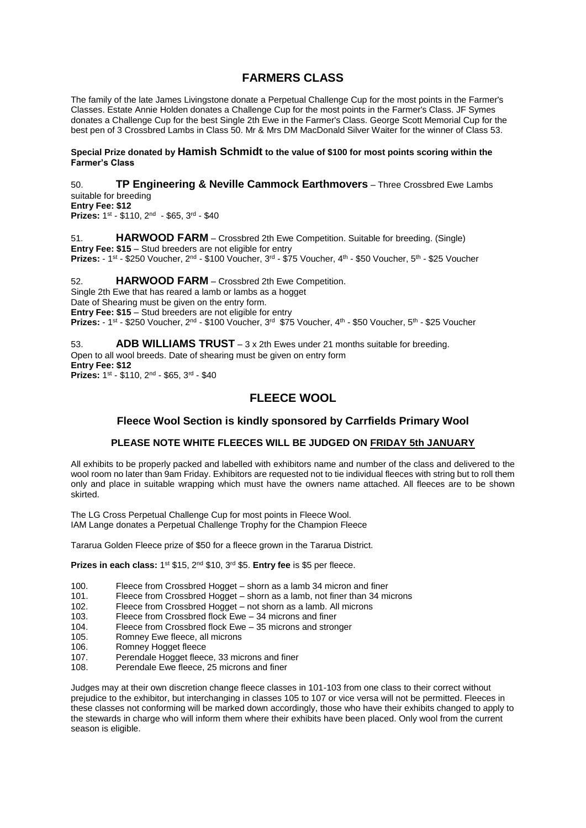#### **FARMERS CLASS**

The family of the late James Livingstone donate a Perpetual Challenge Cup for the most points in the Farmer's Classes. Estate Annie Holden donates a Challenge Cup for the most points in the Farmer's Class. JF Symes donates a Challenge Cup for the best Single 2th Ewe in the Farmer's Class. George Scott Memorial Cup for the best pen of 3 Crossbred Lambs in Class 50. Mr & Mrs DM MacDonald Silver Waiter for the winner of Class 53.

#### **Special Prize donated by Hamish Schmidt to the value of \$100 for most points scoring within the Farmer's Class**

50. **TP Engineering & Neville Cammock Earthmovers** – Three Crossbred Ewe Lambs suitable for breeding **Entry Fee: \$12** Prizes: 1st - \$110, 2<sup>nd</sup> - \$65, 3<sup>rd</sup> - \$40

51. **HARWOOD FARM** – Crossbred 2th Ewe Competition. Suitable for breeding. (Single) **Entry Fee: \$15** – Stud breeders are not eligible for entry Prizes: - 1<sup>st</sup> - \$250 Voucher, 2<sup>nd</sup> - \$100 Voucher, 3<sup>rd</sup> - \$75 Voucher, 4<sup>th</sup> - \$50 Voucher, 5<sup>th</sup> - \$25 Voucher

52. **HARWOOD FARM** – Crossbred 2th Ewe Competition. Single 2th Ewe that has reared a lamb or lambs as a hogget Date of Shearing must be given on the entry form. **Entry Fee: \$15** – Stud breeders are not eligible for entry Prizes: - 1<sup>st</sup> - \$250 Voucher, 2<sup>nd</sup> - \$100 Voucher, 3<sup>rd</sup> \$75 Voucher, 4<sup>th</sup> - \$50 Voucher, 5<sup>th</sup> - \$25 Voucher

53. **ADB WILLIAMS TRUST** – 3 x 2th Ewes under 21 months suitable for breeding. Open to all wool breeds. Date of shearing must be given on entry form **Entry Fee: \$12** Prizes: 1st - \$110, 2<sup>nd</sup> - \$65, 3<sup>rd</sup> - \$40

## **FLEECE WOOL**

#### **Fleece Wool Section is kindly sponsored by Carrfields Primary Wool**

#### **PLEASE NOTE WHITE FLEECES WILL BE JUDGED ON FRIDAY 5th JANUARY**

All exhibits to be properly packed and labelled with exhibitors name and number of the class and delivered to the wool room no later than 9am Friday. Exhibitors are requested not to tie individual fleeces with string but to roll them only and place in suitable wrapping which must have the owners name attached. All fleeces are to be shown skirted.

The LG Cross Perpetual Challenge Cup for most points in Fleece Wool. IAM Lange donates a Perpetual Challenge Trophy for the Champion Fleece

Tararua Golden Fleece prize of \$50 for a fleece grown in the Tararua District.

**Prizes in each class:** 1<sup>st</sup> \$15, 2<sup>nd</sup> \$10, 3<sup>rd</sup> \$5. **Entry fee** is \$5 per fleece.

- 100. Fleece from Crossbred Hogget shorn as a lamb 34 micron and finer<br>101. Fleece from Crossbred Hogget shorn as a lamb, not finer than 34 mi
- Fleece from Crossbred Hogget shorn as a lamb, not finer than 34 microns
- 102. Fleece from Crossbred Hogget not shorn as a lamb. All microns
- 103. Fleece from Crossbred flock Ewe 34 microns and finer
- 104. Fleece from Crossbred flock Ewe 35 microns and stronger
- 105. Romney Ewe fleece, all microns
- 106. Romney Hogget fleece
- 107. Perendale Hogget fleece, 33 microns and finer
- 108. Perendale Ewe fleece, 25 microns and finer

Judges may at their own discretion change fleece classes in 101-103 from one class to their correct without prejudice to the exhibitor, but interchanging in classes 105 to 107 or vice versa will not be permitted. Fleeces in these classes not conforming will be marked down accordingly, those who have their exhibits changed to apply to the stewards in charge who will inform them where their exhibits have been placed. Only wool from the current season is eligible.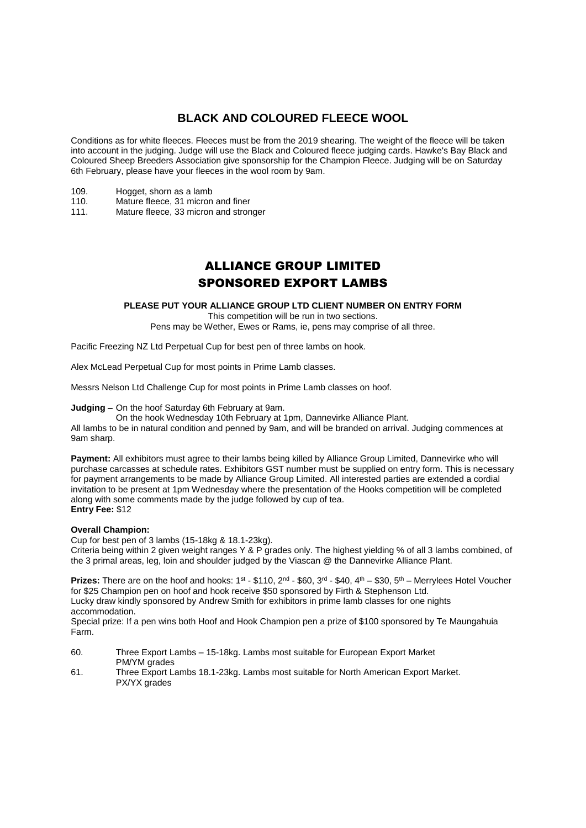## **BLACK AND COLOURED FLEECE WOOL**

Conditions as for white fleeces. Fleeces must be from the 2019 shearing. The weight of the fleece will be taken into account in the judging. Judge will use the Black and Coloured fleece judging cards. Hawke's Bay Black and Coloured Sheep Breeders Association give sponsorship for the Champion Fleece. Judging will be on Saturday 6th February, please have your fleeces in the wool room by 9am.

- 109. Hogget, shorn as a lamb
- 110. Mature fleece, 31 micron and finer
- 111. Mature fleece, 33 micron and stronger

## ALLIANCE GROUP LIMITED SPONSORED EXPORT LAMBS

#### **PLEASE PUT YOUR ALLIANCE GROUP LTD CLIENT NUMBER ON ENTRY FORM**

This competition will be run in two sections.

Pens may be Wether, Ewes or Rams, ie, pens may comprise of all three.

Pacific Freezing NZ Ltd Perpetual Cup for best pen of three lambs on hook.

Alex McLead Perpetual Cup for most points in Prime Lamb classes.

Messrs Nelson Ltd Challenge Cup for most points in Prime Lamb classes on hoof.

**Judging –** On the hoof Saturday 6th February at 9am.

On the hook Wednesday 10th February at 1pm, Dannevirke Alliance Plant.

All lambs to be in natural condition and penned by 9am, and will be branded on arrival. Judging commences at 9am sharp.

**Payment:** All exhibitors must agree to their lambs being killed by Alliance Group Limited, Dannevirke who will purchase carcasses at schedule rates. Exhibitors GST number must be supplied on entry form. This is necessary for payment arrangements to be made by Alliance Group Limited. All interested parties are extended a cordial invitation to be present at 1pm Wednesday where the presentation of the Hooks competition will be completed along with some comments made by the judge followed by cup of tea. **Entry Fee:** \$12

#### **Overall Champion:**

Cup for best pen of 3 lambs (15-18kg & 18.1-23kg).

Criteria being within 2 given weight ranges Y & P grades only. The highest yielding % of all 3 lambs combined, of the 3 primal areas, leg, loin and shoulder judged by the Viascan @ the Dannevirke Alliance Plant.

**Prizes:** There are on the hoof and hooks:  $1^{st}$  - \$110,  $2^{nd}$  - \$60,  $3^{rd}$  - \$40,  $4^{th}$  - \$30,  $5^{th}$  – Merrylees Hotel Voucher for \$25 Champion pen on hoof and hook receive \$50 sponsored by Firth & Stephenson Ltd. Lucky draw kindly sponsored by Andrew Smith for exhibitors in prime lamb classes for one nights accommodation.

Special prize: If a pen wins both Hoof and Hook Champion pen a prize of \$100 sponsored by Te Maungahuia Farm.

60. Three Export Lambs – 15-18kg. Lambs most suitable for European Export Market PM/YM grades

61. Three Export Lambs 18.1-23kg. Lambs most suitable for North American Export Market. PX/YX grades